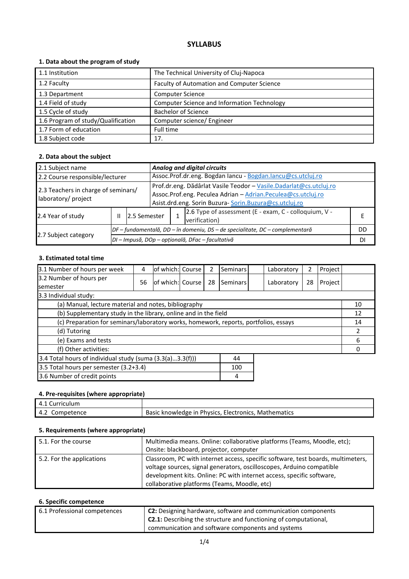# **SYLLABUS**

### **1. Data about the program of study**

| 1.1 Institution                    | The Technical University of Cluj-Napoca            |
|------------------------------------|----------------------------------------------------|
| 1.2 Faculty                        | Faculty of Automation and Computer Science         |
| 1.3 Department                     | <b>Computer Science</b>                            |
| 1.4 Field of study                 | <b>Computer Science and Information Technology</b> |
| 1.5 Cycle of study                 | <b>Bachelor of Science</b>                         |
| 1.6 Program of study/Qualification | Computer science/ Engineer                         |
| 1.7 Form of education              | Full time                                          |
| 1.8 Subject code                   | 17.                                                |

#### **2. Data about the subject**

| 2.1 Subject name                    |                                                                              |                                                  | Analog and digital circuits                                        |                                                             |                                                       |  |  |
|-------------------------------------|------------------------------------------------------------------------------|--------------------------------------------------|--------------------------------------------------------------------|-------------------------------------------------------------|-------------------------------------------------------|--|--|
| 2.2 Course responsible/lecturer     |                                                                              |                                                  |                                                                    | Assoc.Prof.dr.eng. Bogdan Iancu - Bogdan.lancu@cs.utcluj.ro |                                                       |  |  |
| 2.3 Teachers in charge of seminars/ |                                                                              |                                                  | Prof.dr.eng. Dădârlat Vasile Teodor - Vasile.Dadarlat@cs.utcluj.ro |                                                             |                                                       |  |  |
|                                     |                                                                              |                                                  | Assoc.Prof.eng. Peculea Adrian - Adrian.Peculea@cs.utcluj.ro       |                                                             |                                                       |  |  |
| laboratory/ project                 |                                                                              |                                                  |                                                                    | Asist.drd.eng. Sorin Buzura-Sorin.Buzura@cs.utcluj.ro       |                                                       |  |  |
| 2.4 Year of study                   | 2.5 Semester<br>Ш                                                            |                                                  |                                                                    |                                                             | 2.6 Type of assessment (E - exam, C - colloquium, V - |  |  |
|                                     |                                                                              |                                                  |                                                                    |                                                             | verification)                                         |  |  |
| 2.7 Subject category                | DF – fundamentală, DD – în domeniu, DS – de specialitate, DC – complementară |                                                  |                                                                    |                                                             | DD                                                    |  |  |
|                                     |                                                                              | DI - Impusă, DOp - opțională, DFac - facultativă |                                                                    |                                                             | DI                                                    |  |  |

## **3. Estimated total time**

| 3.1 Number of hours per week                                                         | 4  | of which: Course  |  | 2  | Seminars |    | Laboratory | 2  | Project |    |
|--------------------------------------------------------------------------------------|----|-------------------|--|----|----------|----|------------|----|---------|----|
| 3.2 Number of hours per                                                              | 56 | lof which: Course |  | 28 | Seminars |    | Laboratory | 28 | Project |    |
| semester                                                                             |    |                   |  |    |          |    |            |    |         |    |
| 3.3 Individual study:                                                                |    |                   |  |    |          |    |            |    |         |    |
| (a) Manual, lecture material and notes, bibliography                                 |    |                   |  |    |          |    |            |    |         | 10 |
| (b) Supplementary study in the library, online and in the field                      |    |                   |  |    |          |    |            |    |         | 12 |
| (c) Preparation for seminars/laboratory works, homework, reports, portfolios, essays |    |                   |  |    |          | 14 |            |    |         |    |
| (d) Tutoring                                                                         |    |                   |  |    |          |    | 2          |    |         |    |
| (e) Exams and tests                                                                  |    |                   |  |    |          |    | 6          |    |         |    |
| (f) Other activities:                                                                |    |                   |  |    |          |    |            |    |         |    |
| 3.4 Total hours of individual study (suma (3.3(a)3.3(f)))<br>44                      |    |                   |  |    |          |    |            |    |         |    |
| 3.5 Total hours per semester (3.2+3.4)<br>100                                        |    |                   |  |    |          |    |            |    |         |    |
| 3.6 Number of credit points<br>4                                                     |    |                   |  |    |          |    |            |    |         |    |

#### **4. Pre-requisites (where appropriate)**

| 4.1 Curriculum    |                                                      |
|-------------------|------------------------------------------------------|
| 4.2<br>Competence | Basic knowledge in Physics, Electronics, Mathematics |

#### **5. Requirements (where appropriate)**

| 5.1. For the course       | Multimedia means. Online: collaborative platforms (Teams, Moodle, etc);<br>Onsite: blackboard, projector, computer                                                                                                                                                                 |
|---------------------------|------------------------------------------------------------------------------------------------------------------------------------------------------------------------------------------------------------------------------------------------------------------------------------|
| 5.2. For the applications | Classroom, PC with internet access, specific software, test boards, multimeters,<br>voltage sources, signal generators, oscilloscopes, Arduino compatible<br>development kits. Online: PC with internet access, specific software,<br>collaborative platforms (Teams, Moodle, etc) |

## **6. Specific competence**

| 6.1 Professional competences | <b>C2:</b> Designing hardware, software and communication components    |
|------------------------------|-------------------------------------------------------------------------|
|                              |                                                                         |
|                              | <b>C2.1:</b> Describing the structure and functioning of computational, |
|                              |                                                                         |
|                              | communication and software components and systems                       |
|                              |                                                                         |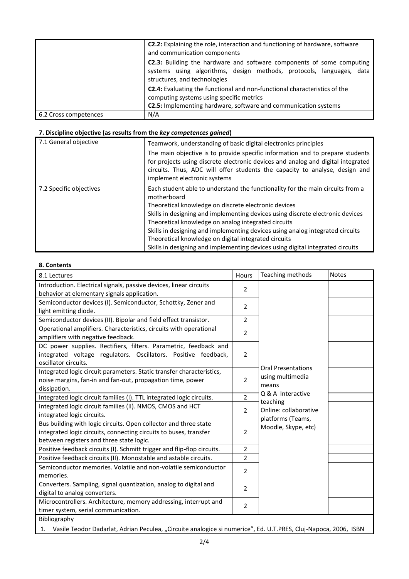|                       | C2.2: Explaining the role, interaction and functioning of hardware, software<br>and communication components                                                                                    |  |  |  |  |
|-----------------------|-------------------------------------------------------------------------------------------------------------------------------------------------------------------------------------------------|--|--|--|--|
|                       | <b>C2.3:</b> Building the hardware and software components of some computing<br>systems using algorithms, design methods, protocols, languages, data<br>structures, and technologies            |  |  |  |  |
|                       | <b>C2.4:</b> Evaluating the functional and non-functional characteristics of the<br>computing systems using specific metrics<br>C2.5: Implementing hardware, software and communication systems |  |  |  |  |
| 6.2 Cross competences | N/A                                                                                                                                                                                             |  |  |  |  |

## **7. Discipline objective (as results from the** *key competences gained***)**

| 7.1 General objective   | Teamwork, understanding of basic digital electronics principles<br>The main objective is to provide specific information and to prepare students<br>for projects using discrete electronic devices and analog and digital integrated<br>circuits. Thus, ADC will offer students the capacity to analyse, design and<br>implement electronic systems                                                                                                                                                                       |
|-------------------------|---------------------------------------------------------------------------------------------------------------------------------------------------------------------------------------------------------------------------------------------------------------------------------------------------------------------------------------------------------------------------------------------------------------------------------------------------------------------------------------------------------------------------|
| 7.2 Specific objectives | Each student able to understand the functionality for the main circuits from a<br>motherboard<br>Theoretical knowledge on discrete electronic devices<br>Skills in designing and implementing devices using discrete electronic devices<br>Theoretical knowledge on analog integrated circuits<br>Skills in designing and implementing devices using analog integrated circuits<br>Theoretical knowledge on digital integrated circuits<br>Skills in designing and implementing devices using digital integrated circuits |

### **8. Contents**

 $\mathbf l$ 

| 8.1 Lectures                                                                                                                                                                      | Hours          | Teaching methods                                       | <b>Notes</b> |
|-----------------------------------------------------------------------------------------------------------------------------------------------------------------------------------|----------------|--------------------------------------------------------|--------------|
| Introduction. Electrical signals, passive devices, linear circuits<br>behavior at elementary signals application.                                                                 | $\overline{2}$ |                                                        |              |
| Semiconductor devices (I). Semiconductor, Schottky, Zener and<br>light emitting diode.                                                                                            | $\overline{2}$ |                                                        |              |
| Semiconductor devices (II). Bipolar and field effect transistor.                                                                                                                  | $\overline{2}$ |                                                        |              |
| Operational amplifiers. Characteristics, circuits with operational<br>amplifiers with negative feedback.                                                                          | $\overline{2}$ |                                                        |              |
| DC power supplies. Rectifiers, filters. Parametric, feedback and<br>integrated voltage regulators. Oscillators. Positive feedback,<br>oscillator circuits.                        | $\overline{2}$ |                                                        |              |
| Integrated logic circuit parameters. Static transfer characteristics,<br>noise margins, fan-in and fan-out, propagation time, power<br>dissipation.                               | $\overline{2}$ | <b>Oral Presentations</b><br>using multimedia<br>means |              |
| Integrated logic circuit families (I). TTL integrated logic circuits.                                                                                                             | $\overline{2}$ | Q & A Interactive                                      |              |
| Integrated logic circuit families (II). NMOS, CMOS and HCT<br>integrated logic circuits.                                                                                          | $\overline{2}$ | teaching<br>Online: collaborative<br>platforms (Teams, |              |
| Bus building with logic circuits. Open collector and three state<br>integrated logic circuits, connecting circuits to buses, transfer<br>between registers and three state logic. | $\overline{2}$ | Moodle, Skype, etc)                                    |              |
| Positive feedback circuits (I). Schmitt trigger and flip-flop circuits.                                                                                                           | $\overline{2}$ |                                                        |              |
| Positive feedback circuits (II). Monostable and astable circuits.                                                                                                                 | $\overline{2}$ |                                                        |              |
| Semiconductor memories. Volatile and non-volatile semiconductor<br>memories.                                                                                                      | $\overline{2}$ |                                                        |              |
| Converters. Sampling, signal quantization, analog to digital and<br>digital to analog converters.                                                                                 | 2              |                                                        |              |
| Microcontrollers. Architecture, memory addressing, interrupt and<br>timer system, serial communication.                                                                           | 2              |                                                        |              |
| Bibliography                                                                                                                                                                      |                |                                                        |              |

1. Vasile Teodor Dadarlat, Adrian Peculea, "Circuite analogice si numerice", Ed. U.T.PRES, Cluj-Napoca, 2006, ISBN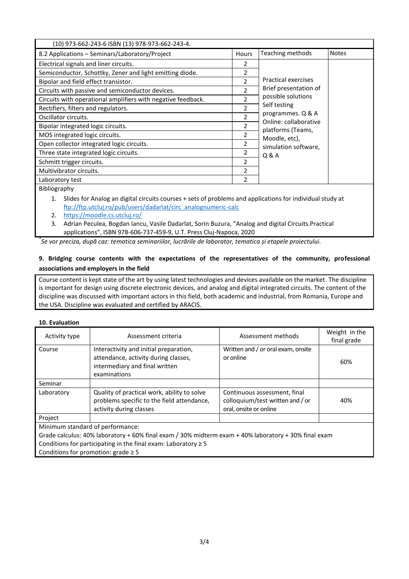| (10) 973-662-243-6 ISBN (13) 978-973-662-243-4.              |                          |                                            |              |
|--------------------------------------------------------------|--------------------------|--------------------------------------------|--------------|
| 8.2 Applications - Seminars/Laboratory/Project               | <b>Hours</b>             | Teaching methods                           | <b>Notes</b> |
| Electrical signals and liner circuits.                       | 2                        |                                            |              |
| Semiconductor, Schottky, Zener and light emitting diode.     | $\mathfrak{p}$           |                                            |              |
| Bipolar and field effect transistor.                         | $\mathfrak{p}$           | <b>Practical exercises</b>                 |              |
| Circuits with passive and semiconductor devices.             | $\mathfrak{p}$           | Brief presentation of                      |              |
| Circuits with operational amplifiers with negative feedback. | 2                        | possible solutions                         |              |
| Rectifiers, filters and regulators.                          | $\mathfrak{p}$           | Self testing                               |              |
| Oscillator circuits.                                         | $\overline{2}$           | programmes. Q & A<br>Online: collaborative |              |
| Bipolar integrated logic circuits.                           | 2                        | platforms (Teams,                          |              |
| MOS integrated logic circuits.                               | 2                        | Moodle, etc),                              |              |
| Open collector integrated logic circuits.                    | 2                        | simulation software,                       |              |
| Three state integrated logic circuits.                       | 2                        | Q & A                                      |              |
| Schmitt trigger circuits.                                    | 2                        |                                            |              |
| Multivibrator circuits.                                      | $\overline{\phantom{a}}$ |                                            |              |
| Laboratory test                                              | $\overline{2}$           |                                            |              |
| Bibliography                                                 |                          |                                            |              |

1. Slides for Analog an digital circuits courses + sets of problems and applications for individual study at [ftp://ftp.utcluj.ro/pub/users/dadarlat/circ\\_analognumeric-calc](ftp://ftp.utcluj.ro/pub/users/dadarlat/circ_analognumeric-calc) 

- 2. <https://moodle.cs.utcluj.ro/>
- 3. Adrian Peculea, Bogdan Iancu, Vasile Dadarlat, Sorin Buzura, "Analog and digital Circuits.Practical applications", ISBN 978-606-737-459-9, U.T. Press Cluj-Napoca, 2020

*\* Se vor preciza, după caz: tematica seminariilor, lucrările de laborator, tematica și etapele proiectului.*

### **9. Bridging course contents with the expectations of the representatives of the community, professional associations and employers in the field**

Course content is kept state of the art by using latest technologies and devices available on the market. The discipline is important for design using discrete electronic devices, and analog and digital integrated circuits. The content of the discipline was discussed with important actors in this field, both academic and industrial, from Romania, Europe and the USA. Discipline was evaluated and certified by ARACIS.

### **10. Evaluation**

| Activity type                                                                                                 | Assessment criteria                                                                                                              | Assessment methods                                                                         | Weight in the<br>final grade |  |  |  |
|---------------------------------------------------------------------------------------------------------------|----------------------------------------------------------------------------------------------------------------------------------|--------------------------------------------------------------------------------------------|------------------------------|--|--|--|
| Course                                                                                                        | Interactivity and initial preparation,<br>attendance, activity during classes,<br>intermediary and final written<br>examinations | Written and / or oral exam, onsite<br>or online                                            | 60%                          |  |  |  |
| Seminar                                                                                                       |                                                                                                                                  |                                                                                            |                              |  |  |  |
| Laboratory                                                                                                    | Quality of practical work, ability to solve<br>problems specific to the field attendance,<br>activity during classes             | Continuous assessment, final<br>colloquium/test written and / or<br>oral, onsite or online | 40%                          |  |  |  |
| Project                                                                                                       |                                                                                                                                  |                                                                                            |                              |  |  |  |
| Minimum standard of performance:                                                                              |                                                                                                                                  |                                                                                            |                              |  |  |  |
| Crede coloulus, 400/ leherster ; ; COO/ final sugar (2000 midters sugar ; 400/ leherster ; ; 2000 final sugar |                                                                                                                                  |                                                                                            |                              |  |  |  |

Grade calculus: 40% laboratory + 60% final exam / 30% midterm exam + 40% laboratory + 30% final exam Conditions for participating in the final exam: Laboratory  $\geq 5$ 

Conditions for promotion: grade ≥ 5